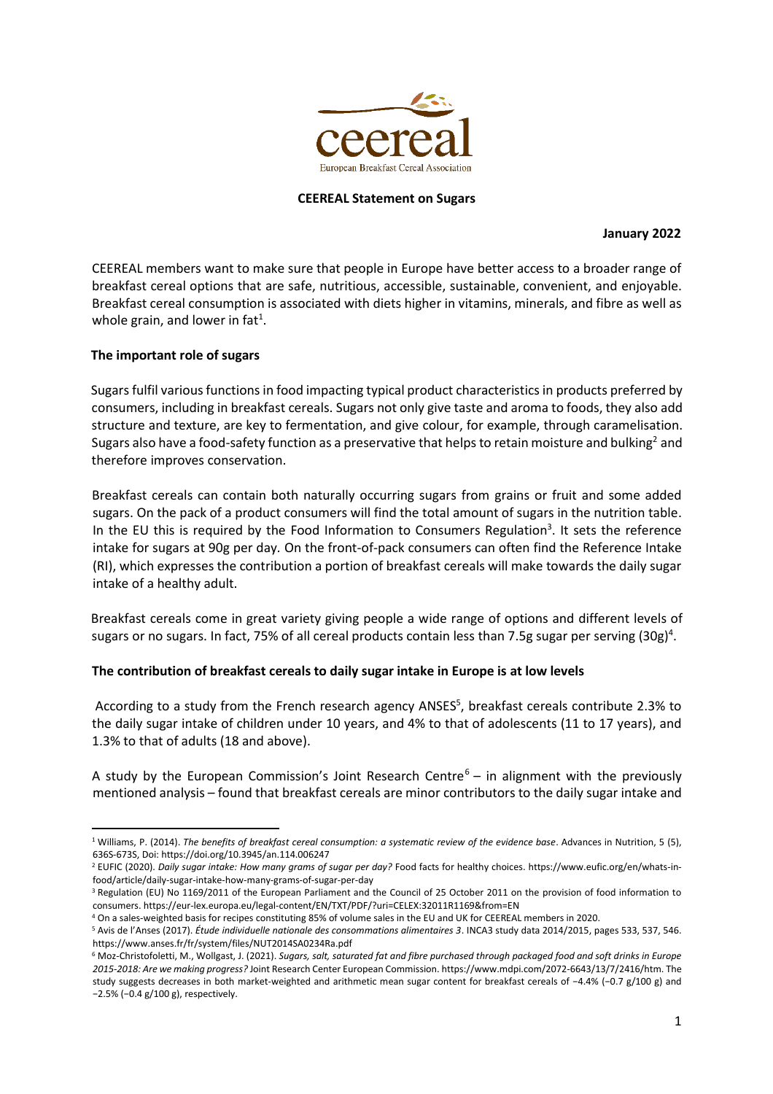

### **CEEREAL Statement on Sugars**

#### **January 2022**

CEEREAL members want to make sure that people in Europe have better access to a broader range of breakfast cereal options that are safe, nutritious, accessible, sustainable, convenient, and enjoyable. Breakfast cereal consumption is associated with diets higher in vitamins, minerals, and fibre as well as whole grain, and lower in fat<sup>1</sup>.

### **The important role of sugars**

Sugars fulfil various functions in food impacting typical product characteristics in products preferred by consumers, including in breakfast cereals. Sugars not only give taste and aroma to foods, they also add structure and texture, are key to fermentation, and give colour, for example, through caramelisation. Sugars also have a food-safety function as a preservative that helps to retain moisture and bulking<sup>2</sup> and therefore improves conservation.

Breakfast cereals can contain both naturally occurring sugars from grains or fruit and some added sugars. On the pack of a product consumers will find the total amount of sugars in the nutrition table. In the EU this is required by the Food Information to Consumers Regulation<sup>3</sup>. It sets the reference intake for sugars at 90g per day*.* On the front-of-pack consumers can often find the Reference Intake (RI), which expresses the contribution a portion of breakfast cereals will make towards the daily sugar intake of a healthy adult.

Breakfast cereals come in great variety giving people a wide range of options and different levels of sugars or no sugars. In fact, 75% of all cereal products contain less than 7.5g sugar per serving (30g)<sup>4</sup>.

## **The contribution of breakfast cereals to daily sugar intake in Europe is at low levels**

According to a study from the French research agency ANSES<sup>5</sup>, breakfast cereals contribute 2.3% to the daily sugar intake of children under 10 years, and 4% to that of adolescents (11 to 17 years), and 1.3% to that of adults (18 and above).

A study by the European Commission's Joint Research Centre<sup>6</sup> – in alignment with the previously mentioned analysis – found that breakfast cereals are minor contributors to the daily sugar intake and

<sup>1</sup> Williams, P. (2014). *The benefits of breakfast cereal consumption: a systematic review of the evidence base*. Advances in Nutrition, 5 (5), 636S-673S, Doi[: https://doi.org/10.3945/an.114.006247](https://doi.org/10.3945/an.114.006247)

<sup>2</sup> EUFIC (2020). *Daily sugar intake: How many grams of sugar per day?* Food facts for healthy choices. [https://www.eufic.org/en/whats-in](https://www.eufic.org/en/whats-in-food/article/daily-sugar-intake-how-many-grams-of-sugar-per-day)[food/article/daily-sugar-intake-how-many-grams-of-sugar-per-day](https://www.eufic.org/en/whats-in-food/article/daily-sugar-intake-how-many-grams-of-sugar-per-day)

<sup>&</sup>lt;sup>3</sup> Regulation (EU) No 1169/2011 of the European Parliament and the Council of 25 October 2011 on the provision of food information to consumers. https://eur-lex.europa.eu/legal-content/EN/TXT/PDF/?uri=CELEX:32011R1169&from=EN

<sup>4</sup> On a sales-weighted basis for recipes constituting 85% of volume sales in the EU and UK for CEEREAL members in 2020.

<sup>5</sup> Avis de l'Anses (2017). *Étude individuelle nationale des consommations alimentaires 3*. INCA3 study data 2014/2015, pages 533, 537, 546. <https://www.anses.fr/fr/system/files/NUT2014SA0234Ra.pdf>

<sup>6</sup> Moz-Christofoletti, M., Wollgast, J. (2021). *Sugars, salt, saturated fat and fibre purchased through packaged food and soft drinks in Europe 2015-2018: Are we making progress?* Joint Research Center European Commission[. https://www.mdpi.com/2072-6643/13/7/2416/htm.](https://www.mdpi.com/2072-6643/13/7/2416/htm) The study suggests decreases in both market-weighted and arithmetic mean sugar content for breakfast cereals of −4.4% (−0.7 g/100 g) and −2.5% (−0.4 g/100 g), respectively.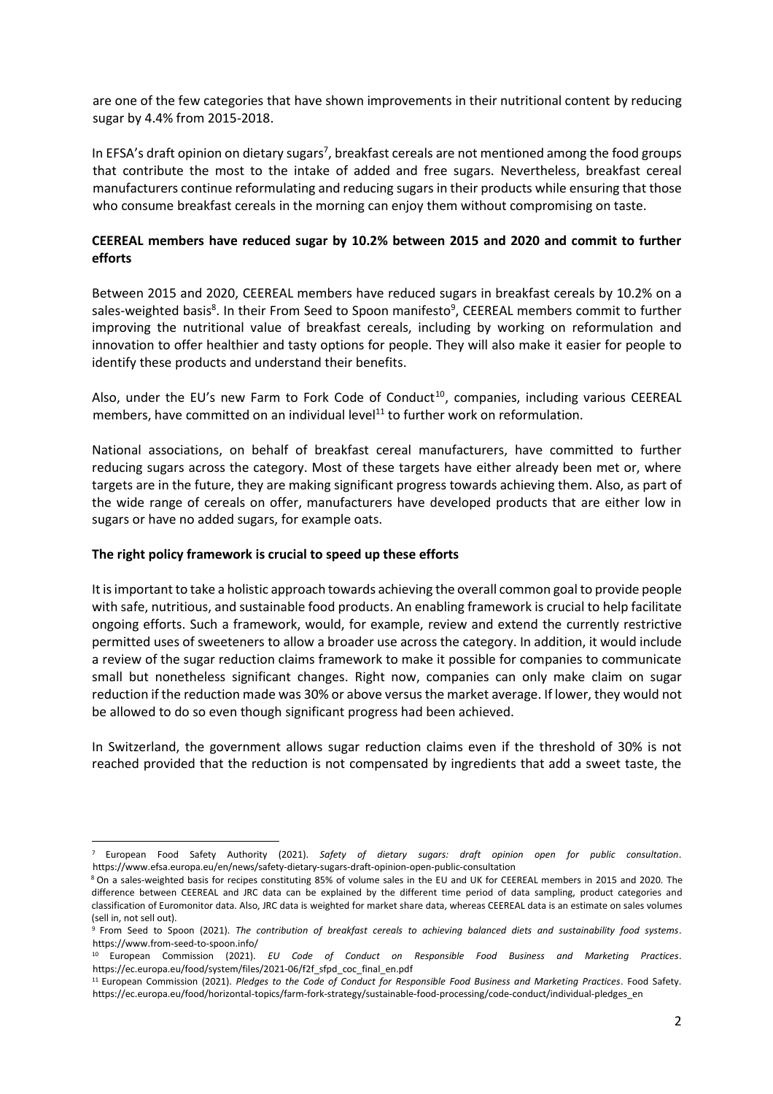are one of the few categories that have shown improvements in their nutritional content by reducing sugar by 4.4% from 2015-2018.

In EFSA's draft opinion on dietary sugars<sup>7</sup>, breakfast cereals are not mentioned among the food groups that contribute the most to the intake of added and free sugars. Nevertheless, breakfast cereal manufacturers continue reformulating and reducing sugars in their products while ensuring that those who consume breakfast cereals in the morning can enjoy them without compromising on taste.

# **CEEREAL members have reduced sugar by 10.2% between 2015 and 2020 and commit to further efforts**

Between 2015 and 2020, CEEREAL members have reduced sugars in breakfast cereals by 10.2% on a sales-weighted basis<sup>8</sup>. In their From Seed to Spoon manifesto<sup>9</sup>, CEEREAL members commit to further improving the nutritional value of breakfast cereals, including by working on reformulation and innovation to offer healthier and tasty options for people. They will also make it easier for people to identify these products and understand their benefits.

Also, under the EU's new Farm to Fork Code of Conduct<sup>10</sup>, companies, including various CEEREAL members, have committed on an individual level $11$  to further work on reformulation.

National associations, on behalf of breakfast cereal manufacturers, have committed to further reducing sugars across the category. Most of these targets have either already been met or, where targets are in the future, they are making significant progress towards achieving them. Also, as part of the wide range of cereals on offer, manufacturers have developed products that are either low in sugars or have no added sugars, for example oats.

## **The right policy framework is crucial to speed up these efforts**

It is important to take a holistic approach towards achieving the overall common goal to provide people with safe, nutritious, and sustainable food products. An enabling framework is crucial to help facilitate ongoing efforts. Such a framework, would, for example, review and extend the currently restrictive permitted uses of sweeteners to allow a broader use across the category. In addition, it would include a review of the sugar reduction claims framework to make it possible for companies to communicate small but nonetheless significant changes. Right now, companies can only make claim on sugar reduction if the reduction made was 30% or above versus the market average. If lower, they would not be allowed to do so even though significant progress had been achieved.

In Switzerland, the government allows sugar reduction claims even if the threshold of 30% is not reached provided that the reduction is not compensated by ingredients that add a sweet taste, the

<sup>7</sup> European Food Safety Authority (2021). *Safety of dietary sugars: draft opinion open for public consultation*. <https://www.efsa.europa.eu/en/news/safety-dietary-sugars-draft-opinion-open-public-consultation>

<sup>8</sup> On a sales-weighted basis for recipes constituting 85% of volume sales in the EU and UK for CEEREAL members in 2015 and 2020. The difference between CEEREAL and JRC data can be explained by the different time period of data sampling, product categories and classification of Euromonitor data. Also, JRC data is weighted for market share data, whereas CEEREAL data is an estimate on sales volumes (sell in, not sell out).

<sup>9</sup> From Seed to Spoon (2021). *The contribution of breakfast cereals to achieving balanced diets and sustainability food systems*. <https://www.from-seed-to-spoon.info/>

<sup>10</sup> European Commission (2021). *EU Code of Conduct on Responsible Food Business and Marketing Practices*. https://ec.europa.eu/food/system/files/2021-06/f2f\_sfpd\_coc\_final\_en.pdf

<sup>11</sup> European Commission (2021). *Pledges to the Code of Conduct for Responsible Food Business and Marketing Practices*. Food Safety. https://ec.europa.eu/food/horizontal-topics/farm-fork-strategy/sustainable-food-processing/code-conduct/individual-pledges\_en